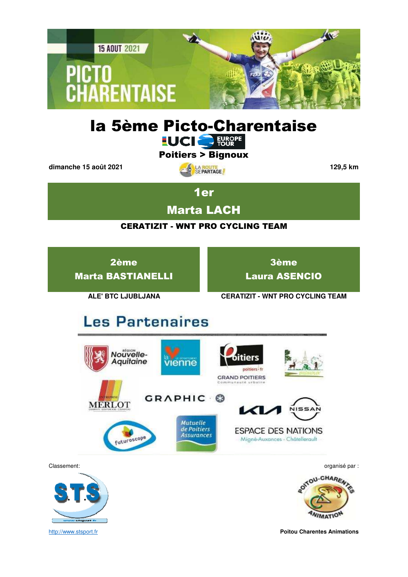

# la 5ème Picto-Charentaise

Poitiers > Bignoux

**dimanche 15 août 2021 129,5 km**

1er

Marta LACH

### CERATIZIT - WNT PRO CYCLING TEAM

2ème Marta BASTIANELLI

3ème Laura ASENCIO

**ALE' BTC LJUBLJANA CERATIZIT - WNT PRO CYCLING TEAM**

# **Les Partenaires**





ONTOU-CHAREN

http://www.stsport.fr **Poitou Charentes Animations**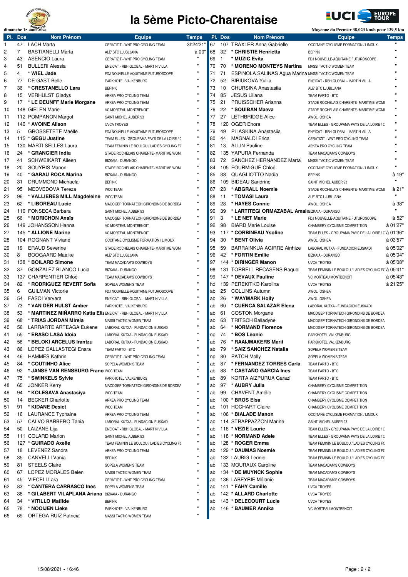

## **la 5ème Picto-Charentaise**



|     |                | dimanche 15 aout 2021                                             |                                            |                    |    |         |                                                             | Movenne du Premier 38,023 km/h pour 129,5 km        |              |
|-----|----------------|-------------------------------------------------------------------|--------------------------------------------|--------------------|----|---------|-------------------------------------------------------------|-----------------------------------------------------|--------------|
| PI. | <b>Dos</b>     | <b>Nom Prénom</b>                                                 | <b>Equipe</b>                              | <b>Temps</b>       |    | PI. Dos | <b>Nom Prénom</b>                                           | <b>Equipe</b>                                       | <b>Temps</b> |
| 1   | 47             | <b>LACH Marta</b>                                                 | CERATIZIT - WNT PRO CYCLING TEAM           | 3h24'21"           | 67 |         | 107 TRAXLER Anna Gabrielle                                  | OCCITANE CYCLISME FORMATION / LIMOUX                | $\mathbf{u}$ |
| 2   | $\overline{7}$ | <b>BASTIANELLI Marta</b>                                          | ALE' BTC LJUBLJANA                         | à 00'              | 68 | 32      | * CHRISTIE Henrietta                                        | <b>BEPINK</b>                                       |              |
| 3   | 43             | <b>ASENCIO Laura</b>                                              | CERATIZIT - WNT PRO CYCLING TEAM           | $\mathbf{H}$       | 69 | -1      | * MUZIC Evita                                               | FDJ NOUVELLE-AQUITAINE FUTUROSCOPE                  |              |
| 4   | 51             | <b>BULLERI Alessia</b>                                            | ENEICAT - RBH GLOBAL - MARTIN VILLA        |                    | 70 | 70      | * MORENO MONTEYS Martina                                    | MASSI TACTIC WOMEN TEAM                             |              |
| 5   | 4              | * WIEL Jade                                                       | FDJ NOUVELLE-AQUITAINE FUTUROSCOPE         | $\mathbf{u}$       | 71 | 71      | <b>ESPINOLA SALINAS Agua Marina MASSI TACTIC WOMEN TEAM</b> |                                                     |              |
|     | 77             | DE GAST Belle                                                     |                                            | .,                 |    |         | <b>BIRIUKOVA Yulija</b>                                     |                                                     |              |
| 6   |                |                                                                   | PARKHOTEL VALKENBURG                       | $\mathbf{u}$       | 72 | 52      |                                                             | ENEICAT - RBH GLOBAL - MARTIN VILLA                 |              |
| 7   | 36             | * CRESTANELLO Lara                                                | <b>BEPINK</b>                              |                    | 73 | 10      | CHURSINA Anastasija                                         | ALE' BTC LJUBLJANA                                  |              |
| 8   | 15             | <b>VERHULST Gladys</b>                                            | ARKEA PRO CYCLING TEAM                     | $\mathbf{u}$       | 74 | 85      | <b>JESUS Liliana</b>                                        | TEAM FARTO - BTC                                    |              |
| 9   | 17             | * LE DEUNFF Marie Morgane                                         | ARKEA PRO CYCLING TEAM                     | $\mathbf{u}$       | 75 | 21      | PRUISSCHER Arianna                                          | STADE ROCHELAIS CHARENTE- MARITIME WOM!             |              |
| 10  |                | 148 GIELEN Marie                                                  | VC MORTEAU MONTBENOIT                      | $\mathbf{u}$       | 76 | 22      | * SQUIBAN Maeva                                             | STADE ROCHELAIS CHARENTE- MARITIME WOM!             |              |
| 11  |                | 112 POMPANON Margot                                               | SAINT MICHEL AUBER 93                      | $\mathbf{u}$       | 77 | 27      | <b>LETHBRIDGE Alice</b>                                     | AWOL OSHEA                                          |              |
| 12  |                | 140 * AVOINE Alison                                               | <b>UVCA TROYES</b>                         | $\mathbf{u}$       | 78 |         | 120 OGER Enora                                              | TEAM ELLES - GROUPAMA PAYS DE LA LOIRE / C          |              |
| 13  | 5              | <b>GROSSETETE Maëlle</b>                                          | FDJ NOUVELLE-AQUITAINE FUTUROSCOPE         |                    | 79 | 49      | PLIASKINA Anastasiia                                        | ENEICAT - RBH GLOBAL - MARTIN VILLA                 |              |
| 14  |                | 115 * GEGU Justine                                                | TEAM ELLES - GROUPAMA PAYS DE LA LOIRE / C |                    | 80 | 44      | <b>MAGNALDI Erica</b>                                       | CERATIZIT - WNT PRO CYCLING TEAM                    |              |
|     |                |                                                                   |                                            | .,                 |    |         |                                                             |                                                     |              |
| 15  |                | 130 MARTI SELLES Laura                                            | TEAM FEMININ LE BOULOU / LADIES CYCLING FO |                    | 81 | 13      | <b>ALLIN Pauline</b>                                        | ARKEA PRO CYCLING TEAM                              |              |
| 16  | 24             | * GRANGIER India                                                  | STADE ROCHELAIS CHARENTE- MARITIME WOMI    |                    | 82 |         | 135 YAPURA Fernanda                                         | TEAM MACADAM'S COWBOYS                              |              |
| 17  | 41             | <b>SCHWEIKART Aileen</b>                                          | <b>BIZKAIA - DURANGO</b>                   | $\mathbf{u}$       | 83 | 72      | SANCHEZ HERNANDEZ Marta                                     | MASSI TACTIC WOMEN TEAM                             |              |
| 18  | 20             | <b>SOUYRIS Manon</b>                                              | STADE ROCHELAIS CHARENTE- MARITIME WOMI    | $\pmb{\mathsf{H}}$ | 84 |         | 105 FOURMIGUÉ Chloé                                         | OCCITANE CYCLISME FORMATION / LIMOUX                |              |
| 19  | 40             | * GARAU ROCA Marina                                               | <b>BIZKAIA - DURANGO</b>                   | $\mathbf{u}$       | 85 | 33      | QUAGLIOTTO Nadia                                            | <b>BEPINK</b>                                       | à 19"        |
| 20  | 31             | DRUMMOND Michaela                                                 | <b>BEPINK</b>                              | $\mathbf{u}$       | 86 |         | 109 BIDEAU Sandrine                                         | SAINT MICHEL AUBER 93                               | $\mathbf{u}$ |
| 21  | 95             | MEDVEDOVA Tereza                                                  | <b>WCC TEAM</b>                            |                    | 87 | 23      | * ABGRALL Noemie                                            | STADE ROCHELAIS CHARENTE- MARITIME WOMI             | à 21"        |
| 22  | 96             | * VALLIERES MILL Magdeleine WCC TEAM                              |                                            | Ħ                  | 88 | 11      | * TOMASI Laura                                              | ALE' BTC LJUBLJANA                                  | $\mathbf{u}$ |
| 23  | 62             | * LIBOREAU Lucie                                                  |                                            |                    | 89 | 28      | * HAYES Connie                                              | AWOL OSHEA                                          | à 38"        |
|     |                |                                                                   | MACOGEP TORNATECH GIRONDINS DE BORDEA      | $\mathbf{u}$       |    |         |                                                             |                                                     | $\mathbf{u}$ |
| 24  |                | 110 FONSECA Barbara                                               | SAINT MICHEL AUBER 93                      |                    | 90 | 39      | * LARTITEGI ORMAZABAL Amai: BIZKAIA - DURANGO               |                                                     |              |
| 25  | 66             | * MORICHON Anaïs                                                  | MACOGEP TORNATECH GIRONDINS DE BORDEA      |                    | 91 | 3       | * LE NET Marie                                              | FDJ NOUVELLE-AQUITAINE FUTUROSCOPE                  | à 52"        |
| 26  |                | 149 JOHANSSON Hanna                                               | VC MORTEAU MONTBENOIT                      |                    | 92 | 98      | <b>BIARD Marie Louise</b>                                   | CHAMBERY CYCLISME COMPETITION                       | à 01'27"     |
| 27  |                | 145 * ALLIONE Marine                                              | VC MORTEAU MONTBENOIT                      | $\mathbf{u}$       | 93 |         | 117 * CORBINEAU Ysoline                                     | TEAM ELLES - GROUPAMA PAYS DE LA LOIRE / C à 01'36" |              |
| 28  |                | 104 ROGNANT Viviane                                               | OCCITANE CYCLISME FORMATION / LIMOUX       | Ħ                  | 94 | 30      | * BENT Olivia                                               | AWOL OSHEA                                          | à 03'57"     |
| 29  | 19             | <b>ERAUD Severine</b>                                             | STADE ROCHELAIS CHARENTE- MARITIME WOMI    |                    | 95 | 59      | <b>BARRAINKUA AGIRRE Ainhize</b>                            | LABORAL KUTXA - FUNDACION EUSKADI                   | à 05'02"     |
| 30  | 8              | <b>BOOGAARD Maaike</b>                                            | ALE' BTC LJUBLJANA                         | .,                 | 96 | 42      | * FORTIN Emilie                                             | BIZKAIA - DURANGO                                   | à 05'04"     |
| 31  |                | 138 * BOILARD Simone                                              |                                            |                    | 97 |         | 144 * DIRINGER Manon                                        | <b>UVCA TROYES</b>                                  | à 05'08"     |
|     |                |                                                                   | TEAM MACADAM'S COWBOYS                     |                    |    |         |                                                             |                                                     |              |
| 32  | 37             | <b>GONZALEZ BLANCO Lucia</b>                                      | BIZKAIA - DURANGO                          | .,                 | 98 |         | 131 TORRELL RECASENS Raquel                                 | TEAM FEMININ LE BOULOU / LADIES CYCLING FC à 05'41" |              |
| 33  |                | 137 CHARPENTIER Chloé                                             | TEAM MACADAM'S COWBOYS                     |                    | 99 |         | 147 * DEVAUX Pauline                                        | VC MORTEAU MONTBENOIT                               | à 05'43"     |
| 34  | 82             | * RODRIGUEZ REVERT Sofia                                          | SOPELA WOMEN'S TEAM                        | $\blacksquare$     | hd |         | 139 PEREKITKO Karolina                                      | <b>UVCA TROYES</b>                                  | à 21'25"     |
| 35  | 6              | <b>GUILMAN Victorie</b>                                           | FDJ NOUVELLE-AQUITAINE FUTUROSCOPE         | $\blacksquare$     | ab | 25      | <b>COLLINS Autumn</b>                                       | AWOL OSHEA                                          |              |
| 36  | 54             | <b>FASOI Varvara</b>                                              | ENEICAT - RBH GLOBAL - MARTIN VILLA        |                    | ab | 26      | * WAYMARK Holly                                             | AWOL OSHEA                                          |              |
| 37  | 73             | * VAN DER HULST Amber                                             | PARKHOTEL VALKENBURG                       | $\blacksquare$     | ab | 60      | * CUENCA SALAZAR Elena                                      | LABORAL KUTXA - FUNDACION EUSKADI                   |              |
| 38  | 53             | * MARTINEZ MINARRO Katia Eliz ENEICAT - RBH GLOBAL - MARTIN VILLA |                                            | $\mathbf{u}$       | ab | 61      | <b>COSTON Morgane</b>                                       | MACOGEP TORNATECH GIRONDINS DE BORDEA               |              |
| 39  | 68             | * TRIAS JORDAN Mireia                                             | MASSI TACTIC WOMEN TEAM                    | $\blacksquare$     | ab | 63      | <b>TRITSCH Balladyne</b>                                    | MACOGEP TORNATECH GIRONDINS DE BORDEA               |              |
| 40  | 56             | <b>LARRARTE ARTEAGA Eukene</b>                                    | LABORAL KUTXA - FUNDACION EUSKADI          |                    | ab | 64      | * NORMAND Florence                                          | MACOGEP TORNATECH GIRONDINS DE BORDEA               |              |
|     |                |                                                                   |                                            | $\mathbf{u}$       |    |         | * BOS Leonie                                                |                                                     |              |
| 41  | 55             | * ERASO LASA Idoia                                                | LABORAL KUTXA - FUNDACION EUSKADI          | $\mathbf{u}$       | np | 74      |                                                             | PARKHOTEL VALKENBURG                                |              |
| 42  | 58             | * BELOKI ARCELUS Irantzu                                          | LABORAL KUTXA - FUNDACION EUSKADI          |                    | ab | 76      | * RAAIJMAKERS Marit                                         | PARKHOTEL VALKENBURG                                |              |
| 43  | 86             | LOPEZ GALLASTEGI Enara                                            | TEAM FARTO - BTC                           |                    | ab | 79      | * SAIZ SANCHEZ Natalia                                      | SOPELA WOMEN'S TEAM                                 |              |
| 44  | 46             | <b>HAMMES Kathrin</b>                                             | CERATIZIT - WNT PRO CYCLING TEAM           |                    | np | 80      | <b>PATCH Molly</b>                                          | SOPELA WOMEN'S TEAM                                 |              |
| 45  | 84             | * COUTINHO Alice                                                  | SOPELA WOMEN'S TEAM                        | Ħ                  | ab | 87      | * FERNANDEZ TORRES Carla                                    | TEAM FARTO - BTC                                    |              |
| 46  | 92             | * JANSE VAN RENSBURG Franciwcc TEAM                               |                                            | Ħ                  | ab | 88      | * CASTAÑO GARCIA Ines                                       | TEAM FARTO - BTC                                    |              |
| 47  | 75             | * SWINKELS Sylvie                                                 | PARKHOTEL VALKENBURG                       |                    | ab | 89      | KORTA AIZPURUA Garazi                                       | TEAM FARTO - BTC                                    |              |
| 48  | 65             | <b>JONKER Kerry</b>                                               | MACOGEP TORNATECH GIRONDINS DE BORDEA      | .,                 | ab | 97      | * AUBRY Julia                                               | CHAMBERY CYCLISME COMPETITION                       |              |
| 49  | 94             | * KOLESAVA Anastasiya                                             | <b>WCC TEAM</b>                            |                    | ab | 99      | <b>CHAVENT Amélie</b>                                       | CHAMBERY CYCLISME COMPETITION                       |              |
|     | 14             | <b>BECKER Charlotte</b>                                           |                                            |                    | ab |         | 100 * BROS Elsa                                             |                                                     |              |
| 50  |                |                                                                   | ARKEA PRO CYCLING TEAM                     |                    |    |         |                                                             | CHAMBERY CYCLISME COMPETITION                       |              |
| 51  | 91             | * KIDANE Desiet                                                   | <b>WCC TEAM</b>                            |                    | ab |         | 101 HOCHART Claire                                          | CHAMBERY CYCLISME COMPETITION                       |              |
| 52  | 16             | <b>LAURANCE Typhaine</b>                                          | ARKEA PRO CYCLING TEAM                     |                    | ab |         | 106 * BIALADE Manon                                         | OCCITANE CYCLISME FORMATION / LIMOUX                |              |
| 53  | 57             | CALVO BARBERO Tania                                               | LABORAL KUTXA - FUNDACION EUSKADI          |                    | ab |         | 114 STRAPPAZZON Marine                                      | SAINT MICHEL AUBER 93                               |              |
| 54  | 50             | LAIZANE Lija                                                      | ENEICAT - RBH GLOBAL - MARTIN VILLA        | Ħ                  | ab |         | 116 * VEZIE Laurie                                          | TEAM ELLES - GROUPAMA PAYS DE LA LOIRE / C          |              |
| 55  |                | 111 COLARD Marion                                                 | SAINT MICHEL AUBER 93                      |                    | ab |         | 118 * NORMAND Adele                                         | TEAM ELLES - GROUPAMA PAYS DE LA LOIRE / C          |              |
| 56  |                | 127 * GUIRADO Axelle                                              | TEAM FEMININ LE BOULOU / LADIES CYCLING FO |                    | ab |         | 128 * ROGER Emma                                            | TEAM FEMININ LE BOULOU / LADIES CYCLING FC          |              |
| 57  | 18             | <b>LEVENEZ Sandra</b>                                             | ARKEA PRO CYCLING TEAM                     | .,                 | ab |         | 129 * DAUMAS Noemie                                         | TEAM FEMININ LE BOULOU / LADIES CYCLING FC          |              |
| 58  | 35             | <b>CANVELLI Vania</b>                                             | <b>BEPINK</b>                              |                    | ab |         | 132 LAUBIG Leonie                                           | TEAM FEMININ LE BOULOU / LADIES CYCLING FC          |              |
| 59  | 81             | <b>STEELS Claire</b>                                              | SOPELA WOMEN'S TEAM                        |                    | ab |         | 133 MOURAUX Caroline                                        | TEAM MACADAM'S COWBOYS                              |              |
|     |                |                                                                   |                                            |                    |    |         |                                                             |                                                     |              |
| 60  | 67             | LOPEZ MORALES Belen                                               | MASSI TACTIC WOMEN TEAM                    |                    | ab |         | 134 * DE MUYNCK Sophie                                      | TEAM MACADAM'S COWBOYS                              |              |
| 61  | 45             | <b>VIECELI Lara</b>                                               | CERATIZIT - WNT PRO CYCLING TEAM           |                    | ab |         | 136 LABEYRIE Mélanie                                        | TEAM MACADAM'S COWBOYS                              |              |
| 62  | 83             | * CANTERA CARRASCO Ines                                           | SOPELA WOMEN'S TEAM                        |                    | ab |         | 141 * FAHY Camille                                          | UVCA TROYES                                         |              |
| 63  | 38             | * GILABERT VILAPLANA Ariana BIZKAIA - DURANGO                     |                                            |                    | ab |         | 142 * ALLARD Charlotte                                      | UVCA TROYES                                         |              |
| 64  | 34             | * VITILLO Matilde                                                 | <b>BEPINK</b>                              | $\mathbf{u}$       | ab |         | 143 * DELECOURT Lucie                                       | UVCA TROYES                                         |              |
| 65  | 78             | * NOOIJEN Lieke                                                   | PARKHOTEL VALKENBURG                       |                    | ab |         | 146 * BAUMER Annika                                         | VC MORTEAU MONTBENOIT                               |              |
| 66  | 69             | <b>ORTEGA RUIZ Patricia</b>                                       | MASSI TACTIC WOMEN TEAM                    | $\mathbf{u}$       |    |         |                                                             |                                                     |              |
|     |                |                                                                   |                                            |                    |    |         |                                                             |                                                     |              |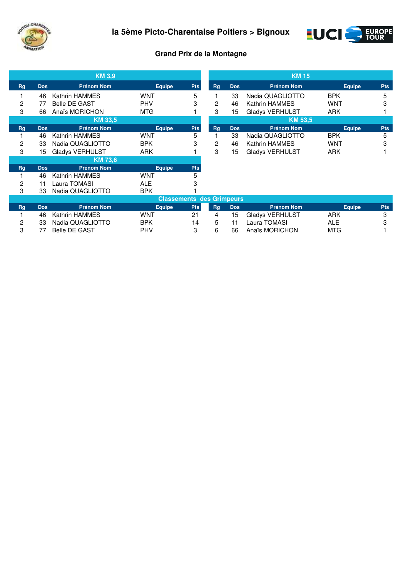



## **Grand Prix de la Montagne**

|           |            | <b>KM 3,9</b>          |               |                                  |           |            | <b>KM 15</b>          |               |            |
|-----------|------------|------------------------|---------------|----------------------------------|-----------|------------|-----------------------|---------------|------------|
| <b>Rg</b> | <b>Dos</b> | <b>Prénom Nom</b>      | <b>Equipe</b> | <b>Pts</b>                       | <b>Rg</b> | <b>Dos</b> | <b>Prénom Nom</b>     | <b>Equipe</b> | <b>Pts</b> |
|           | 46         | Kathrin HAMMES         | WNT           | 5                                |           | 33         | Nadia QUAGLIOTTO      | <b>BPK</b>    | 5          |
| 2         | 77         | <b>Belle DE GAST</b>   | PHV           | 3                                | 2         | 46         | Kathrin HAMMES        | <b>WNT</b>    | 3          |
| 3         | 66         | Anaïs MORICHON         | <b>MTG</b>    |                                  | 3         | 15         | Gladys VERHULST       | <b>ARK</b>    |            |
|           |            | <b>KM 33.5</b>         |               |                                  |           |            | <b>KM 53,5</b>        |               |            |
| <b>Rg</b> | <b>Dos</b> | <b>Prénom Nom</b>      | <b>Equipe</b> | <b>Pts</b>                       | <b>Rg</b> | <b>Dos</b> | <b>Prénom Nom</b>     | <b>Equipe</b> | <b>Pts</b> |
|           | 46         | Kathrin HAMMES         | WNT           | 5                                |           | 33         | Nadia QUAGLIOTTO      | <b>BPK</b>    | 5          |
| 2         | 33         | Nadia QUAGLIOTTO       | <b>BPK</b>    | 3                                | 2         | 46         | <b>Kathrin HAMMES</b> | <b>WNT</b>    | 3          |
| 3         | 15         | <b>Gladys VERHULST</b> | <b>ARK</b>    |                                  | 3         | 15         | Gladys VERHULST       | <b>ARK</b>    |            |
|           |            | <b>KM 73,6</b>         |               |                                  |           |            |                       |               |            |
| <b>Rg</b> | <b>Dos</b> | <b>Prénom Nom</b>      | Equipe        | <b>Pts</b>                       |           |            |                       |               |            |
|           | 46         | Kathrin HAMMES         | WNT           | 5                                |           |            |                       |               |            |
| 2         | 11         | Laura TOMASI           | <b>ALE</b>    | 3                                |           |            |                       |               |            |
| 3         | 33         | Nadia QUAGLIOTTO       | <b>BPK</b>    |                                  |           |            |                       |               |            |
|           |            |                        |               | <b>Classements des Grimpeurs</b> |           |            |                       |               |            |
| Rg        | <b>Dos</b> | <b>Prénom Nom</b>      | <b>Equipe</b> | <b>Pts</b>                       | Rg        | <b>Dos</b> | <b>Prénom Nom</b>     | <b>Equipe</b> | <b>Pts</b> |
|           | 46         | Kathrin HAMMES         | WNT           | 21                               | 4         | 15         | Gladys VERHULST       | ARK           | 3          |
| 2         | 33         | Nadia QUAGLIOTTO       | <b>BPK</b>    | 14                               | 5         | 11         | Laura TOMASI          | <b>ALE</b>    | 3          |
| 3         | 77         | Belle DE GAST          | <b>PHV</b>    | 3                                | 6         | 66         | Anaïs MORICHON        | <b>MTG</b>    |            |